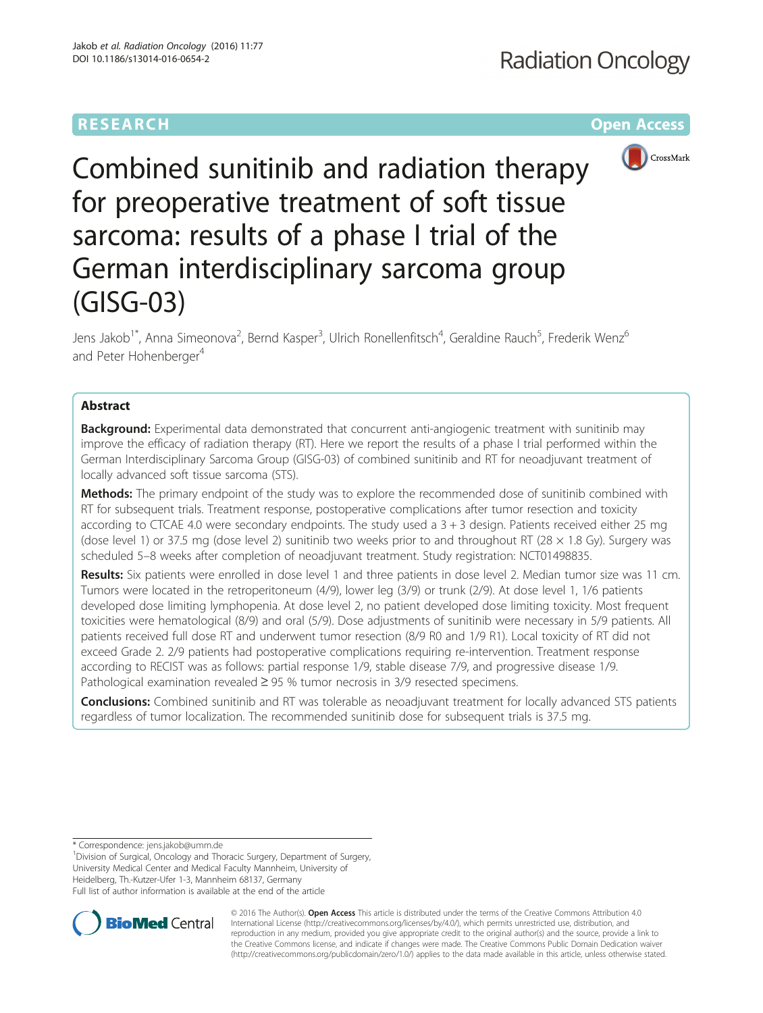# **RESEARCH CHEAR CHEAR CHEAR CHEAR CHEAR CHEAR CHEAR CHEAR CHEAR CHEAR CHEAR CHEAR CHEAR CHEAR CHEAR CHEAR CHEAR**



Combined sunitinib and radiation therapy for preoperative treatment of soft tissue sarcoma: results of a phase I trial of the German interdisciplinary sarcoma group (GISG-03)

Jens Jakob<sup>1\*</sup>, Anna Simeonova<sup>2</sup>, Bernd Kasper<sup>3</sup>, Ulrich Ronellenfitsch<sup>4</sup>, Geraldine Rauch<sup>5</sup>, Frederik Wenz<sup>6</sup> and Peter Hohenberger<sup>4</sup>

## Abstract

**Background:** Experimental data demonstrated that concurrent anti-angiogenic treatment with sunitinib may improve the efficacy of radiation therapy (RT). Here we report the results of a phase I trial performed within the German Interdisciplinary Sarcoma Group (GISG-03) of combined sunitinib and RT for neoadjuvant treatment of locally advanced soft tissue sarcoma (STS).

Methods: The primary endpoint of the study was to explore the recommended dose of sunitinib combined with RT for subsequent trials. Treatment response, postoperative complications after tumor resection and toxicity according to CTCAE 4.0 were secondary endpoints. The study used a 3 + 3 design. Patients received either 25 mg (dose level 1) or 37.5 mg (dose level 2) sunitinib two weeks prior to and throughout RT (28  $\times$  1.8 Gy). Surgery was scheduled 5–8 weeks after completion of neoadjuvant treatment. Study registration: NCT01498835.

Results: Six patients were enrolled in dose level 1 and three patients in dose level 2. Median tumor size was 11 cm. Tumors were located in the retroperitoneum (4/9), lower leg (3/9) or trunk (2/9). At dose level 1, 1/6 patients developed dose limiting lymphopenia. At dose level 2, no patient developed dose limiting toxicity. Most frequent toxicities were hematological (8/9) and oral (5/9). Dose adjustments of sunitinib were necessary in 5/9 patients. All patients received full dose RT and underwent tumor resection (8/9 R0 and 1/9 R1). Local toxicity of RT did not exceed Grade 2. 2/9 patients had postoperative complications requiring re-intervention. Treatment response according to RECIST was as follows: partial response 1/9, stable disease 7/9, and progressive disease 1/9. Pathological examination revealed ≥ 95 % tumor necrosis in 3/9 resected specimens.

**Conclusions:** Combined sunitinib and RT was tolerable as neoadjuvant treatment for locally advanced STS patients regardless of tumor localization. The recommended sunitinib dose for subsequent trials is 37.5 mg.

\* Correspondence: [jens.jakob@umm.de](mailto:jens.jakob@umm.de) <sup>1</sup>

<sup>1</sup> Division of Surgical, Oncology and Thoracic Surgery, Department of Surgery, University Medical Center and Medical Faculty Mannheim, University of Heidelberg, Th.-Kutzer-Ufer 1-3, Mannheim 68137, Germany Full list of author information is available at the end of the article



© 2016 The Author(s). Open Access This article is distributed under the terms of the Creative Commons Attribution 4.0 International License [\(http://creativecommons.org/licenses/by/4.0/](http://creativecommons.org/licenses/by/4.0/)), which permits unrestricted use, distribution, and reproduction in any medium, provided you give appropriate credit to the original author(s) and the source, provide a link to the Creative Commons license, and indicate if changes were made. The Creative Commons Public Domain Dedication waiver [\(http://creativecommons.org/publicdomain/zero/1.0/](http://creativecommons.org/publicdomain/zero/1.0/)) applies to the data made available in this article, unless otherwise stated.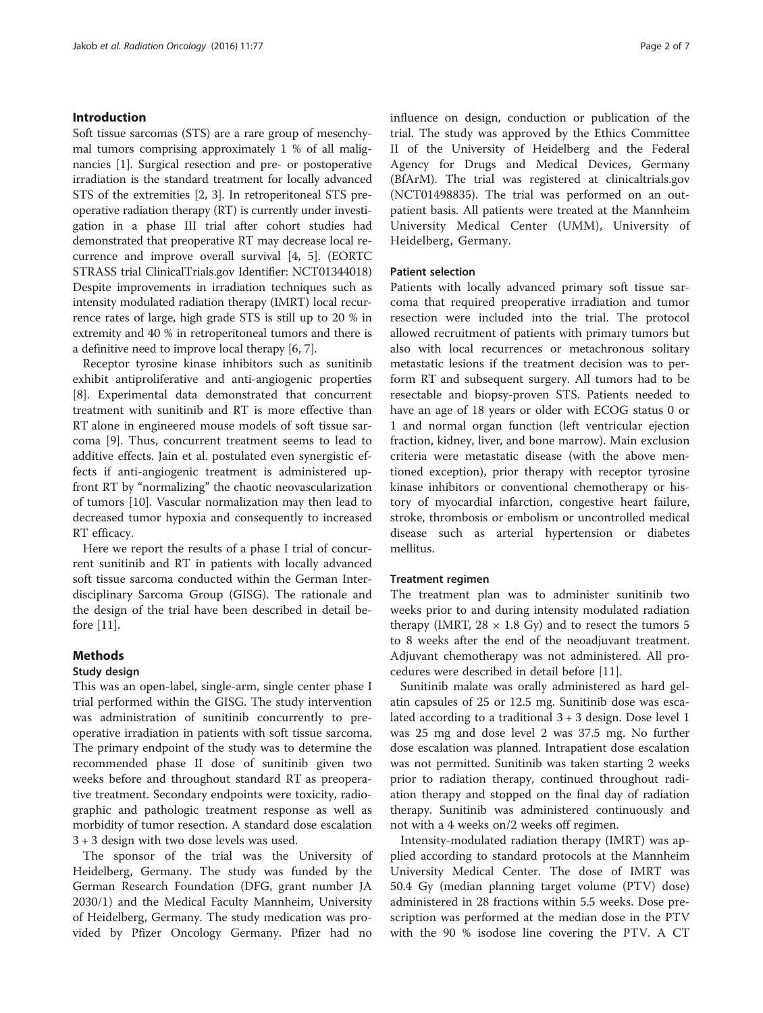## Introduction

Soft tissue sarcomas (STS) are a rare group of mesenchymal tumors comprising approximately 1 % of all malignancies [[1\]](#page-6-0). Surgical resection and pre- or postoperative irradiation is the standard treatment for locally advanced STS of the extremities [[2, 3](#page-6-0)]. In retroperitoneal STS preoperative radiation therapy (RT) is currently under investigation in a phase III trial after cohort studies had demonstrated that preoperative RT may decrease local recurrence and improve overall survival [[4, 5](#page-6-0)]. (EORTC STRASS trial ClinicalTrials.gov Identifier: NCT01344018) Despite improvements in irradiation techniques such as intensity modulated radiation therapy (IMRT) local recurrence rates of large, high grade STS is still up to 20 % in extremity and 40 % in retroperitoneal tumors and there is a definitive need to improve local therapy [\[6, 7](#page-6-0)].

Receptor tyrosine kinase inhibitors such as sunitinib exhibit antiproliferative and anti-angiogenic properties [[8\]](#page-6-0). Experimental data demonstrated that concurrent treatment with sunitinib and RT is more effective than RT alone in engineered mouse models of soft tissue sarcoma [[9\]](#page-6-0). Thus, concurrent treatment seems to lead to additive effects. Jain et al. postulated even synergistic effects if anti-angiogenic treatment is administered upfront RT by "normalizing" the chaotic neovascularization of tumors [[10](#page-6-0)]. Vascular normalization may then lead to decreased tumor hypoxia and consequently to increased RT efficacy.

Here we report the results of a phase I trial of concurrent sunitinib and RT in patients with locally advanced soft tissue sarcoma conducted within the German Interdisciplinary Sarcoma Group (GISG). The rationale and the design of the trial have been described in detail before [[11\]](#page-6-0).

## Methods

### Study design

This was an open-label, single-arm, single center phase I trial performed within the GISG. The study intervention was administration of sunitinib concurrently to preoperative irradiation in patients with soft tissue sarcoma. The primary endpoint of the study was to determine the recommended phase II dose of sunitinib given two weeks before and throughout standard RT as preoperative treatment. Secondary endpoints were toxicity, radiographic and pathologic treatment response as well as morbidity of tumor resection. A standard dose escalation 3 + 3 design with two dose levels was used.

The sponsor of the trial was the University of Heidelberg, Germany. The study was funded by the German Research Foundation (DFG, grant number JA 2030/1) and the Medical Faculty Mannheim, University of Heidelberg, Germany. The study medication was provided by Pfizer Oncology Germany. Pfizer had no influence on design, conduction or publication of the trial. The study was approved by the Ethics Committee II of the University of Heidelberg and the Federal Agency for Drugs and Medical Devices, Germany (BfArM). The trial was registered at clinicaltrials.gov (NCT01498835). The trial was performed on an outpatient basis. All patients were treated at the Mannheim University Medical Center (UMM), University of Heidelberg, Germany.

## Patient selection

Patients with locally advanced primary soft tissue sarcoma that required preoperative irradiation and tumor resection were included into the trial. The protocol allowed recruitment of patients with primary tumors but also with local recurrences or metachronous solitary metastatic lesions if the treatment decision was to perform RT and subsequent surgery. All tumors had to be resectable and biopsy-proven STS. Patients needed to have an age of 18 years or older with ECOG status 0 or 1 and normal organ function (left ventricular ejection fraction, kidney, liver, and bone marrow). Main exclusion criteria were metastatic disease (with the above mentioned exception), prior therapy with receptor tyrosine kinase inhibitors or conventional chemotherapy or history of myocardial infarction, congestive heart failure, stroke, thrombosis or embolism or uncontrolled medical disease such as arterial hypertension or diabetes mellitus.

## Treatment regimen

The treatment plan was to administer sunitinib two weeks prior to and during intensity modulated radiation therapy (IMRT,  $28 \times 1.8$  Gy) and to resect the tumors 5 to 8 weeks after the end of the neoadjuvant treatment. Adjuvant chemotherapy was not administered. All procedures were described in detail before [[11](#page-6-0)].

Sunitinib malate was orally administered as hard gelatin capsules of 25 or 12.5 mg. Sunitinib dose was escalated according to a traditional 3 + 3 design. Dose level 1 was 25 mg and dose level 2 was 37.5 mg. No further dose escalation was planned. Intrapatient dose escalation was not permitted. Sunitinib was taken starting 2 weeks prior to radiation therapy, continued throughout radiation therapy and stopped on the final day of radiation therapy. Sunitinib was administered continuously and not with a 4 weeks on/2 weeks off regimen.

Intensity-modulated radiation therapy (IMRT) was applied according to standard protocols at the Mannheim University Medical Center. The dose of IMRT was 50.4 Gy (median planning target volume (PTV) dose) administered in 28 fractions within 5.5 weeks. Dose prescription was performed at the median dose in the PTV with the 90 % isodose line covering the PTV. A CT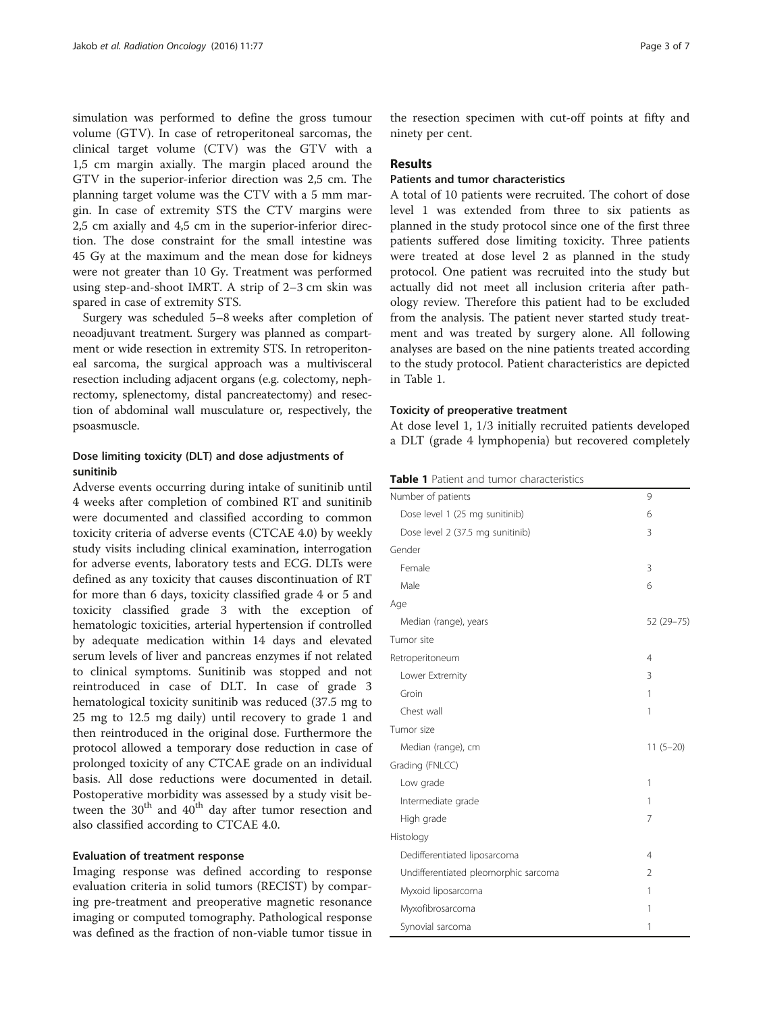simulation was performed to define the gross tumour volume (GTV). In case of retroperitoneal sarcomas, the clinical target volume (CTV) was the GTV with a 1,5 cm margin axially. The margin placed around the GTV in the superior-inferior direction was 2,5 cm. The planning target volume was the CTV with a 5 mm margin. In case of extremity STS the CTV margins were 2,5 cm axially and 4,5 cm in the superior-inferior direction. The dose constraint for the small intestine was 45 Gy at the maximum and the mean dose for kidneys were not greater than 10 Gy. Treatment was performed using step-and-shoot IMRT. A strip of 2–3 cm skin was spared in case of extremity STS.

Surgery was scheduled 5–8 weeks after completion of neoadjuvant treatment. Surgery was planned as compartment or wide resection in extremity STS. In retroperitoneal sarcoma, the surgical approach was a multivisceral resection including adjacent organs (e.g. colectomy, nephrectomy, splenectomy, distal pancreatectomy) and resection of abdominal wall musculature or, respectively, the psoasmuscle.

## Dose limiting toxicity (DLT) and dose adjustments of sunitinib

Adverse events occurring during intake of sunitinib until 4 weeks after completion of combined RT and sunitinib were documented and classified according to common toxicity criteria of adverse events (CTCAE 4.0) by weekly study visits including clinical examination, interrogation for adverse events, laboratory tests and ECG. DLTs were defined as any toxicity that causes discontinuation of RT for more than 6 days, toxicity classified grade 4 or 5 and toxicity classified grade 3 with the exception of hematologic toxicities, arterial hypertension if controlled by adequate medication within 14 days and elevated serum levels of liver and pancreas enzymes if not related to clinical symptoms. Sunitinib was stopped and not reintroduced in case of DLT. In case of grade 3 hematological toxicity sunitinib was reduced (37.5 mg to 25 mg to 12.5 mg daily) until recovery to grade 1 and then reintroduced in the original dose. Furthermore the protocol allowed a temporary dose reduction in case of prolonged toxicity of any CTCAE grade on an individual basis. All dose reductions were documented in detail. Postoperative morbidity was assessed by a study visit between the  $30<sup>th</sup>$  and  $40<sup>th</sup>$  day after tumor resection and also classified according to CTCAE 4.0.

## Evaluation of treatment response

Imaging response was defined according to response evaluation criteria in solid tumors (RECIST) by comparing pre-treatment and preoperative magnetic resonance imaging or computed tomography. Pathological response was defined as the fraction of non-viable tumor tissue in

the resection specimen with cut-off points at fifty and ninety per cent.

## Results

## Patients and tumor characteristics

A total of 10 patients were recruited. The cohort of dose level 1 was extended from three to six patients as planned in the study protocol since one of the first three patients suffered dose limiting toxicity. Three patients were treated at dose level 2 as planned in the study protocol. One patient was recruited into the study but actually did not meet all inclusion criteria after pathology review. Therefore this patient had to be excluded from the analysis. The patient never started study treatment and was treated by surgery alone. All following analyses are based on the nine patients treated according to the study protocol. Patient characteristics are depicted in Table 1.

#### Toxicity of preoperative treatment

At dose level 1, 1/3 initially recruited patients developed a DLT (grade 4 lymphopenia) but recovered completely

| Number of patients                   | 9              |
|--------------------------------------|----------------|
| Dose level 1 (25 mg sunitinib)       | 6              |
| Dose level 2 (37.5 mg sunitinib)     | 3              |
| Gender                               |                |
| Female                               | 3              |
| Male                                 | 6              |
| Age                                  |                |
| Median (range), years                | 52 (29 - 75)   |
| Tumor site                           |                |
| Retroperitoneum                      | 4              |
| Lower Extremity                      | 3              |
| Groin                                | 1              |
| Chest wall                           | 1              |
| Tumor size                           |                |
| Median (range), cm                   | $11(5-20)$     |
| Grading (FNLCC)                      |                |
| Low grade                            | 1              |
| Intermediate grade                   | 1              |
| High grade                           | 7              |
| Histology                            |                |
| Dedifferentiated liposarcoma         | 4              |
| Undifferentiated pleomorphic sarcoma | $\overline{2}$ |
| Myxoid liposarcoma                   | 1              |
| Myxofibrosarcoma                     | 1              |
| Synovial sarcoma                     | 1              |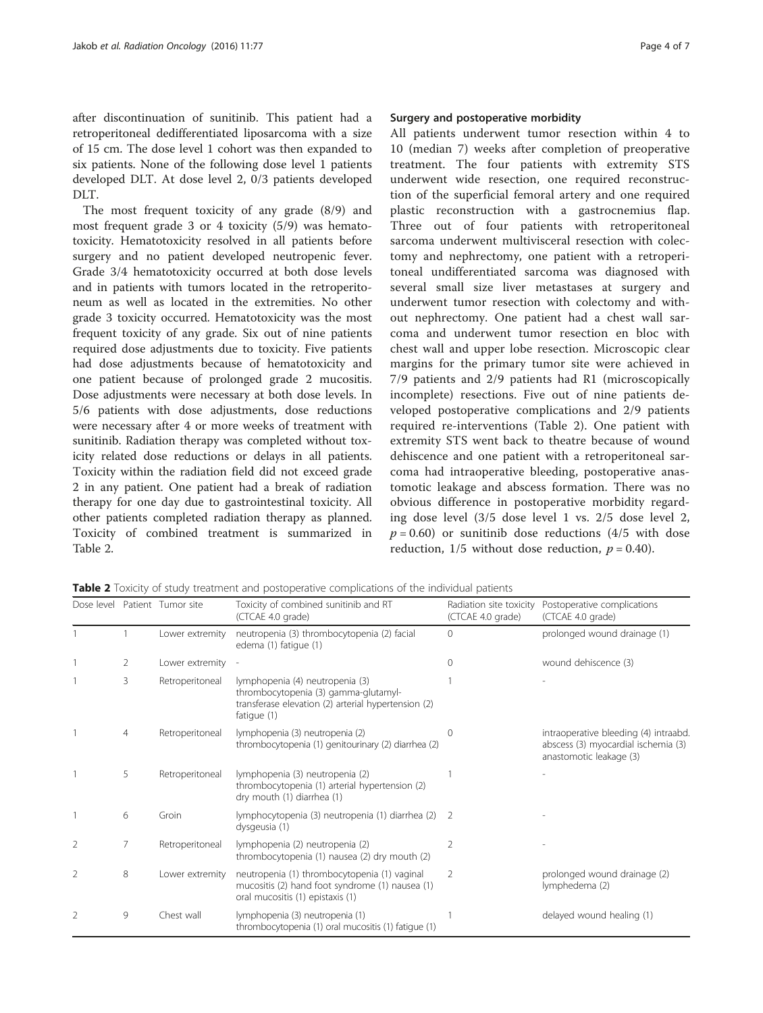after discontinuation of sunitinib. This patient had a retroperitoneal dedifferentiated liposarcoma with a size of 15 cm. The dose level 1 cohort was then expanded to six patients. None of the following dose level 1 patients developed DLT. At dose level 2, 0/3 patients developed DLT.

The most frequent toxicity of any grade (8/9) and most frequent grade 3 or 4 toxicity (5/9) was hematotoxicity. Hematotoxicity resolved in all patients before surgery and no patient developed neutropenic fever. Grade 3/4 hematotoxicity occurred at both dose levels and in patients with tumors located in the retroperitoneum as well as located in the extremities. No other grade 3 toxicity occurred. Hematotoxicity was the most frequent toxicity of any grade. Six out of nine patients required dose adjustments due to toxicity. Five patients had dose adjustments because of hematotoxicity and one patient because of prolonged grade 2 mucositis. Dose adjustments were necessary at both dose levels. In 5/6 patients with dose adjustments, dose reductions were necessary after 4 or more weeks of treatment with sunitinib. Radiation therapy was completed without toxicity related dose reductions or delays in all patients. Toxicity within the radiation field did not exceed grade 2 in any patient. One patient had a break of radiation therapy for one day due to gastrointestinal toxicity. All other patients completed radiation therapy as planned. Toxicity of combined treatment is summarized in Table 2.

## Surgery and postoperative morbidity

All patients underwent tumor resection within 4 to 10 (median 7) weeks after completion of preoperative treatment. The four patients with extremity STS underwent wide resection, one required reconstruction of the superficial femoral artery and one required plastic reconstruction with a gastrocnemius flap. Three out of four patients with retroperitoneal sarcoma underwent multivisceral resection with colectomy and nephrectomy, one patient with a retroperitoneal undifferentiated sarcoma was diagnosed with several small size liver metastases at surgery and underwent tumor resection with colectomy and without nephrectomy. One patient had a chest wall sarcoma and underwent tumor resection en bloc with chest wall and upper lobe resection. Microscopic clear margins for the primary tumor site were achieved in 7/9 patients and 2/9 patients had R1 (microscopically incomplete) resections. Five out of nine patients developed postoperative complications and 2/9 patients required re-interventions (Table 2). One patient with extremity STS went back to theatre because of wound dehiscence and one patient with a retroperitoneal sarcoma had intraoperative bleeding, postoperative anastomotic leakage and abscess formation. There was no obvious difference in postoperative morbidity regarding dose level (3/5 dose level 1 vs. 2/5 dose level 2,  $p = 0.60$ ) or sunitinib dose reductions (4/5 with dose reduction,  $1/5$  without dose reduction,  $p = 0.40$ ).

Table 2 Toxicity of study treatment and postoperative complications of the individual patients

|   |   | Dose level Patient Tumor site | Toxicity of combined sunitinib and RT<br>(CTCAE 4.0 grade)                                                                                    | Radiation site toxicity<br>(CTCAE 4.0 grade) | Postoperative complications<br>(CTCAE 4.0 grade)                                                        |
|---|---|-------------------------------|-----------------------------------------------------------------------------------------------------------------------------------------------|----------------------------------------------|---------------------------------------------------------------------------------------------------------|
|   |   | Lower extremity               | neutropenia (3) thrombocytopenia (2) facial<br>edema (1) fatigue (1)                                                                          | $\Omega$                                     | prolonged wound drainage (1)                                                                            |
|   | 2 | Lower extremity               |                                                                                                                                               | $\cap$                                       | wound dehiscence (3)                                                                                    |
|   | 3 | Retroperitoneal               | lymphopenia (4) neutropenia (3)<br>thrombocytopenia (3) gamma-glutamyl-<br>transferase elevation (2) arterial hypertension (2)<br>fatique (1) |                                              |                                                                                                         |
|   | 4 | Retroperitoneal               | lymphopenia (3) neutropenia (2)<br>thrombocytopenia (1) genitourinary (2) diarrhea (2)                                                        | 0                                            | intraoperative bleeding (4) intraabd.<br>abscess (3) myocardial ischemia (3)<br>anastomotic leakage (3) |
|   | 5 | Retroperitoneal               | lymphopenia (3) neutropenia (2)<br>thrombocytopenia (1) arterial hypertension (2)<br>dry mouth (1) diarrhea (1)                               |                                              |                                                                                                         |
|   | 6 | Groin                         | lymphocytopenia (3) neutropenia (1) diarrhea (2)<br>dysgeusia (1)                                                                             | $\overline{z}$                               |                                                                                                         |
| 2 |   | Retroperitoneal               | lymphopenia (2) neutropenia (2)<br>thrombocytopenia (1) nausea (2) dry mouth (2)                                                              | 2                                            |                                                                                                         |
| 2 | 8 | Lower extremity               | neutropenia (1) thrombocytopenia (1) vaginal<br>mucositis (2) hand foot syndrome (1) nausea (1)<br>oral mucositis (1) epistaxis (1)           | 2                                            | prolonged wound drainage (2)<br>lymphedema (2)                                                          |
| 2 | 9 | Chest wall                    | lymphopenia (3) neutropenia (1)<br>thrombocytopenia (1) oral mucositis (1) fatique (1)                                                        |                                              | delayed wound healing (1)                                                                               |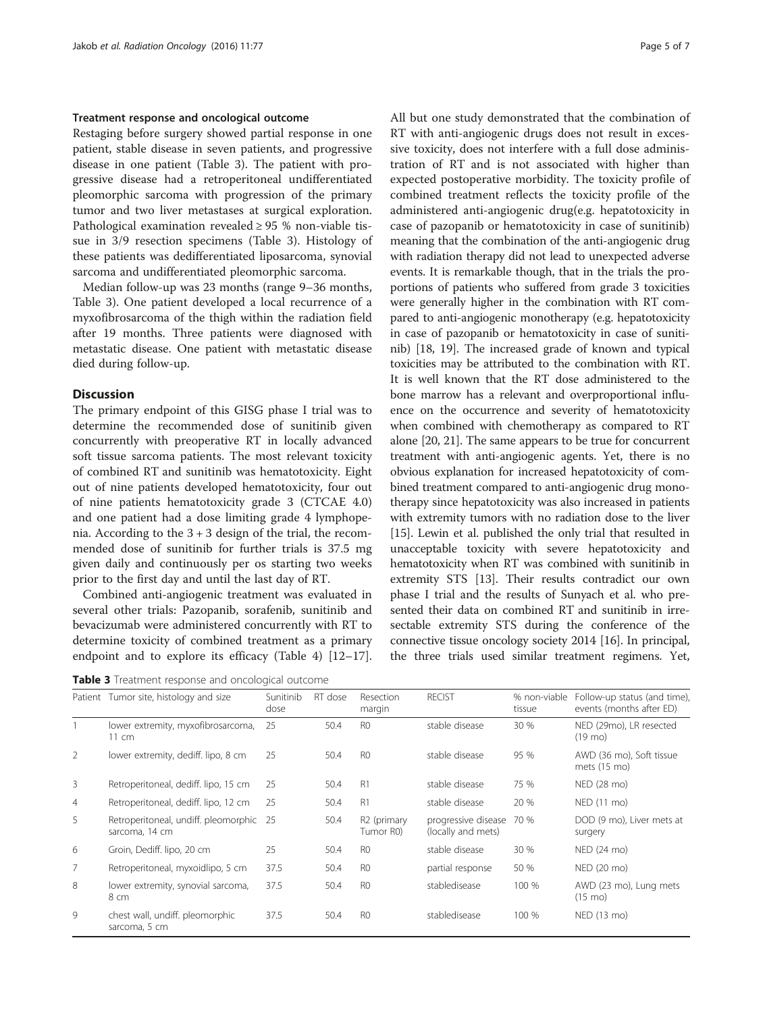## Treatment response and oncological outcome

Restaging before surgery showed partial response in one patient, stable disease in seven patients, and progressive disease in one patient (Table 3). The patient with progressive disease had a retroperitoneal undifferentiated pleomorphic sarcoma with progression of the primary tumor and two liver metastases at surgical exploration. Pathological examination revealed  $\geq$  95 % non-viable tissue in 3/9 resection specimens (Table 3). Histology of these patients was dedifferentiated liposarcoma, synovial sarcoma and undifferentiated pleomorphic sarcoma.

Median follow-up was 23 months (range 9–36 months, Table 3). One patient developed a local recurrence of a myxofibrosarcoma of the thigh within the radiation field after 19 months. Three patients were diagnosed with metastatic disease. One patient with metastatic disease died during follow-up.

## **Discussion**

The primary endpoint of this GISG phase I trial was to determine the recommended dose of sunitinib given concurrently with preoperative RT in locally advanced soft tissue sarcoma patients. The most relevant toxicity of combined RT and sunitinib was hematotoxicity. Eight out of nine patients developed hematotoxicity, four out of nine patients hematotoxicity grade 3 (CTCAE 4.0) and one patient had a dose limiting grade 4 lymphopenia. According to the  $3 + 3$  design of the trial, the recommended dose of sunitinib for further trials is 37.5 mg given daily and continuously per os starting two weeks prior to the first day and until the last day of RT.

Combined anti-angiogenic treatment was evaluated in several other trials: Pazopanib, sorafenib, sunitinib and bevacizumab were administered concurrently with RT to determine toxicity of combined treatment as a primary endpoint and to explore its efficacy (Table [4\)](#page-5-0) [[12](#page-6-0)–[17](#page-6-0)].

Table 3 Treatment response and oncological outcome

All but one study demonstrated that the combination of RT with anti-angiogenic drugs does not result in excessive toxicity, does not interfere with a full dose administration of RT and is not associated with higher than expected postoperative morbidity. The toxicity profile of combined treatment reflects the toxicity profile of the administered anti-angiogenic drug(e.g. hepatotoxicity in case of pazopanib or hematotoxicity in case of sunitinib) meaning that the combination of the anti-angiogenic drug with radiation therapy did not lead to unexpected adverse events. It is remarkable though, that in the trials the proportions of patients who suffered from grade 3 toxicities were generally higher in the combination with RT compared to anti-angiogenic monotherapy (e.g. hepatotoxicity in case of pazopanib or hematotoxicity in case of sunitinib) [[18](#page-6-0), [19](#page-6-0)]. The increased grade of known and typical toxicities may be attributed to the combination with RT. It is well known that the RT dose administered to the bone marrow has a relevant and overproportional influence on the occurrence and severity of hematotoxicity when combined with chemotherapy as compared to RT alone [\[20, 21\]](#page-6-0). The same appears to be true for concurrent treatment with anti-angiogenic agents. Yet, there is no obvious explanation for increased hepatotoxicity of combined treatment compared to anti-angiogenic drug monotherapy since hepatotoxicity was also increased in patients with extremity tumors with no radiation dose to the liver [[15](#page-6-0)]. Lewin et al. published the only trial that resulted in unacceptable toxicity with severe hepatotoxicity and hematotoxicity when RT was combined with sunitinib in extremity STS [\[13\]](#page-6-0). Their results contradict our own phase I trial and the results of Sunyach et al. who presented their data on combined RT and sunitinib in irresectable extremity STS during the conference of the connective tissue oncology society 2014 [[16](#page-6-0)]. In principal, the three trials used similar treatment regimens. Yet,

|                | Patient Tumor site, histology and size                    | Sunitinib<br>dose | RT dose | Resection<br>margin                  | <b>RECIST</b>                             | % non-viable<br>tissue | Follow-up status (and time),<br>events (months after ED) |
|----------------|-----------------------------------------------------------|-------------------|---------|--------------------------------------|-------------------------------------------|------------------------|----------------------------------------------------------|
|                | lower extremity, myxofibrosarcoma,<br>11 cm               | 25                | 50.4    | R <sub>0</sub>                       | stable disease                            | 30 %                   | NED (29mo), LR resected<br>$(19 \text{ mo})$             |
| 2              | lower extremity, dediff. lipo, 8 cm                       | 25                | 50.4    | R <sub>0</sub>                       | stable disease                            | 95 %                   | AWD (36 mo), Soft tissue<br>mets (15 mo)                 |
| $\overline{3}$ | Retroperitoneal, dediff. lipo, 15 cm                      | 25                | 50.4    | R1                                   | stable disease                            | 75 %                   | NED (28 mo)                                              |
| $\overline{4}$ | Retroperitoneal, dediff. lipo, 12 cm                      | 25                | 50.4    | R1                                   | stable disease                            | 20 %                   | NED (11 mo)                                              |
| 5              | Retroperitoneal, undiff. pleomorphic 25<br>sarcoma, 14 cm |                   | 50.4    | R <sub>2</sub> (primary<br>Tumor R0) | progressive disease<br>(locally and mets) | 70 %                   | DOD (9 mo), Liver mets at<br>surgery                     |
| 6              | Groin, Dediff. lipo, 20 cm                                | 25                | 50.4    | R <sub>0</sub>                       | stable disease                            | 30 %                   | NED (24 mo)                                              |
| $\overline{7}$ | Retroperitoneal, myxoidlipo, 5 cm                         | 37.5              | 50.4    | R <sub>0</sub>                       | partial response                          | 50 %                   | NED (20 mo)                                              |
| 8              | lower extremity, synovial sarcoma,<br>8 cm                | 37.5              | 50.4    | R <sub>0</sub>                       | stabledisease                             | 100 %                  | AWD (23 mo), Lung mets<br>$(15 \text{ mo})$              |
| 9              | chest wall, undiff. pleomorphic<br>sarcoma, 5 cm          | 37.5              | 50.4    | R <sub>0</sub>                       | stabledisease                             | 100 %                  | NED (13 mo)                                              |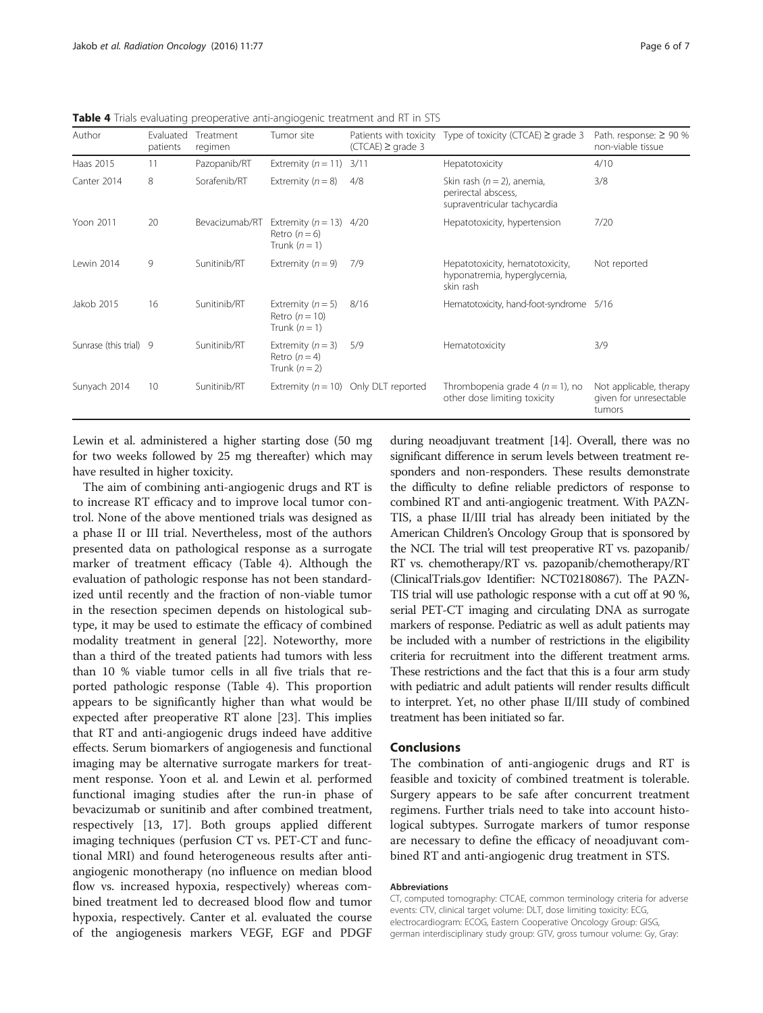| Author                 | Evaluated<br>patients | Treatment<br>regimen | Tumor site                                                 | $(CTCAE) \geq$ grade 3 | Patients with toxicity Type of toxicity (CTCAE) $\geq$ grade 3                        | Path. response: $\geq 90\%$<br>non-viable tissue            |
|------------------------|-----------------------|----------------------|------------------------------------------------------------|------------------------|---------------------------------------------------------------------------------------|-------------------------------------------------------------|
| Haas 2015              | 11                    | Pazopanib/RT         | Extremity $(n = 11)$                                       | 3/11                   | Hepatotoxicity                                                                        | 4/10                                                        |
| Canter 2014            | 8                     | Sorafenib/RT         | Extremity $(n = 8)$                                        | 4/8                    | Skin rash ( $n = 2$ ), anemia,<br>perirectal abscess,<br>supraventricular tachycardia | 3/8                                                         |
| Yoon 2011              | 20                    | Bevacizumab/RT       | Extremity $(n = 13)$<br>Retro $(n=6)$<br>Trunk $(n = 1)$   | 4/20                   | Hepatotoxicity, hypertension                                                          | 7/20                                                        |
| Lewin 2014             | 9                     | Sunitinib/RT         | Extremity $(n = 9)$                                        | 7/9                    | Hepatotoxicity, hematotoxicity,<br>hyponatremia, hyperglycemia,<br>skin rash          | Not reported                                                |
| Jakob 2015             | 16                    | Sunitinib/RT         | Extremity $(n = 5)$<br>Retro $(n = 10)$<br>Trunk $(n = 1)$ | 8/16                   | Hematotoxicity, hand-foot-syndrome 5/16                                               |                                                             |
| Sunrase (this trial) 9 |                       | Sunitinib/RT         | Extremity $(n = 3)$<br>Retro $(n=4)$<br>Trunk $(n = 2)$    | 5/9                    | Hematotoxicity                                                                        | 3/9                                                         |
| Sunyach 2014           | 10                    | Sunitinib/RT         | Extremity $(n = 10)$                                       | Only DLT reported      | Thrombopenia grade 4 ( $n = 1$ ), no<br>other dose limiting toxicity                  | Not applicable, therapy<br>given for unresectable<br>tumors |

<span id="page-5-0"></span>Table 4 Trials evaluating preoperative anti-angiogenic treatment and RT in STS

Lewin et al. administered a higher starting dose (50 mg for two weeks followed by 25 mg thereafter) which may have resulted in higher toxicity.

The aim of combining anti-angiogenic drugs and RT is to increase RT efficacy and to improve local tumor control. None of the above mentioned trials was designed as a phase II or III trial. Nevertheless, most of the authors presented data on pathological response as a surrogate marker of treatment efficacy (Table 4). Although the evaluation of pathologic response has not been standardized until recently and the fraction of non-viable tumor in the resection specimen depends on histological subtype, it may be used to estimate the efficacy of combined modality treatment in general [\[22\]](#page-6-0). Noteworthy, more than a third of the treated patients had tumors with less than 10 % viable tumor cells in all five trials that reported pathologic response (Table 4). This proportion appears to be significantly higher than what would be expected after preoperative RT alone [[23](#page-6-0)]. This implies that RT and anti-angiogenic drugs indeed have additive effects. Serum biomarkers of angiogenesis and functional imaging may be alternative surrogate markers for treatment response. Yoon et al. and Lewin et al. performed functional imaging studies after the run-in phase of bevacizumab or sunitinib and after combined treatment, respectively [[13, 17](#page-6-0)]. Both groups applied different imaging techniques (perfusion CT vs. PET-CT and functional MRI) and found heterogeneous results after antiangiogenic monotherapy (no influence on median blood flow vs. increased hypoxia, respectively) whereas combined treatment led to decreased blood flow and tumor hypoxia, respectively. Canter et al. evaluated the course of the angiogenesis markers VEGF, EGF and PDGF during neoadjuvant treatment [\[14\]](#page-6-0). Overall, there was no significant difference in serum levels between treatment responders and non-responders. These results demonstrate the difficulty to define reliable predictors of response to combined RT and anti-angiogenic treatment. With PAZN-TIS, a phase II/III trial has already been initiated by the American Children's Oncology Group that is sponsored by the NCI. The trial will test preoperative RT vs. pazopanib/ RT vs. chemotherapy/RT vs. pazopanib/chemotherapy/RT (ClinicalTrials.gov Identifier: NCT02180867). The PAZN-TIS trial will use pathologic response with a cut off at 90 %, serial PET-CT imaging and circulating DNA as surrogate markers of response. Pediatric as well as adult patients may be included with a number of restrictions in the eligibility criteria for recruitment into the different treatment arms. These restrictions and the fact that this is a four arm study with pediatric and adult patients will render results difficult to interpret. Yet, no other phase II/III study of combined treatment has been initiated so far.

## Conclusions

The combination of anti-angiogenic drugs and RT is feasible and toxicity of combined treatment is tolerable. Surgery appears to be safe after concurrent treatment regimens. Further trials need to take into account histological subtypes. Surrogate markers of tumor response are necessary to define the efficacy of neoadjuvant combined RT and anti-angiogenic drug treatment in STS.

#### Abbreviations

CT, computed tomography: CTCAE, common terminology criteria for adverse events: CTV, clinical target volume: DLT, dose limiting toxicity: ECG, electrocardiogram: ECOG, Eastern Cooperative Oncology Group: GISG, german interdisciplinary study group: GTV, gross tumour volume: Gy, Gray: